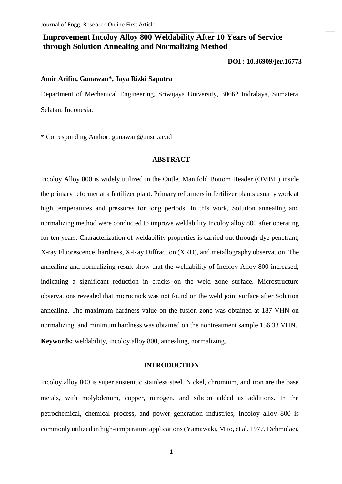# **Improvement Incoloy Alloy 800 Weldability After 10 Years of Service through Solution Annealing and Normalizing Method**

#### **[DOI : 10.36909/jer.16773](https://doi.org/10.36909/jer.16773)**

## **Amir Arifin, Gunawan\*, Jaya Rizki Saputra**

Department of Mechanical Engineering, Sriwijaya University, 30662 Indralaya, Sumatera Selatan, Indonesia.

\* Corresponding Author: gunawan@unsri.ac.id

## **ABSTRACT**

Incoloy Alloy 800 is widely utilized in the Outlet Manifold Bottom Header (OMBH) inside the primary reformer at a fertilizer plant. Primary reformers in fertilizer plants usually work at high temperatures and pressures for long periods. In this work, Solution annealing and normalizing method were conducted to improve weldability Incoloy alloy 800 after operating for ten years. Characterization of weldability properties is carried out through dye penetrant, X-ray Fluorescence, hardness, X-Ray Diffraction (XRD), and metallography observation. The annealing and normalizing result show that the weldability of Incoloy Alloy 800 increased, indicating a significant reduction in cracks on the weld zone surface. Microstructure observations revealed that microcrack was not found on the weld joint surface after Solution annealing. The maximum hardness value on the fusion zone was obtained at 187 VHN on normalizing, and minimum hardness was obtained on the nontreatment sample 156.33 VHN. **Keywords:** weldability, incoloy alloy 800, annealing, normalizing.

## **INTRODUCTION**

Incoloy alloy 800 is super austenitic stainless steel. Nickel, chromium, and iron are the base metals, with molybdenum, copper, nitrogen, and silicon added as additions. In the petrochemical, chemical process, and power generation industries, Incoloy alloy 800 is commonly utilized in high-temperature applications (Yamawaki, Mito, et al. 1977, Dehmolaei,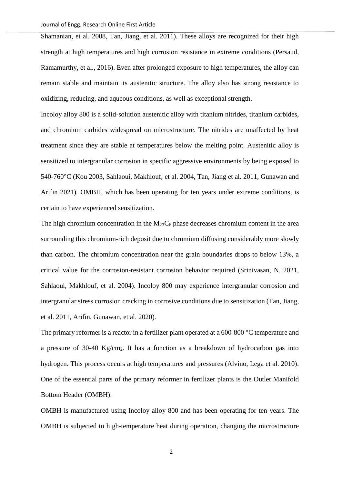Shamanian, et al. 2008, Tan, Jiang, et al. 2011). These alloys are recognized for their high strength at high temperatures and high corrosion resistance in extreme conditions (Persaud, Ramamurthy, et al., 2016). Even after prolonged exposure to high temperatures, the alloy can remain stable and maintain its austenitic structure. The alloy also has strong resistance to oxidizing, reducing, and aqueous conditions, as well as exceptional strength.

Incoloy alloy 800 is a solid-solution austenitic alloy with titanium nitrides, titanium carbides, and chromium carbides widespread on microstructure. The nitrides are unaffected by heat treatment since they are stable at temperatures below the melting point. Austenitic alloy is sensitized to intergranular corrosion in specific aggressive environments by being exposed to 540-760°C (Kou 2003, Sahlaoui, Makhlouf, et al. 2004, Tan, Jiang et al. 2011, Gunawan and Arifin 2021). OMBH, which has been operating for ten years under extreme conditions, is certain to have experienced sensitization.

The high chromium concentration in the  $M_{23}C_6$  phase decreases chromium content in the area surrounding this chromium-rich deposit due to chromium diffusing considerably more slowly than carbon. The chromium concentration near the grain boundaries drops to below 13%, a critical value for the corrosion-resistant corrosion behavior required (Srinivasan, N. 2021, Sahlaoui, Makhlouf, et al. 2004). Incoloy 800 may experience intergranular corrosion and intergranular stress corrosion cracking in corrosive conditions due to sensitization (Tan, Jiang, et al. 2011, Arifin, Gunawan, et al. 2020).

The primary reformer is a reactor in a fertilizer plant operated at a 600-800 °C temperature and a pressure of 30-40 Kg/cm<sub>2</sub>. It has a function as a breakdown of hydrocarbon gas into hydrogen. This process occurs at high temperatures and pressures (Alvino, Lega et al. 2010). One of the essential parts of the primary reformer in fertilizer plants is the Outlet Manifold Bottom Header (OMBH).

OMBH is manufactured using Incoloy alloy 800 and has been operating for ten years. The OMBH is subjected to high-temperature heat during operation, changing the microstructure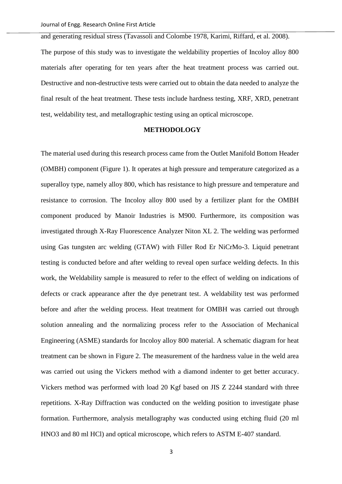and generating residual stress (Tavassoli and Colombe 1978, Karimi, Riffard, et al. 2008). The purpose of this study was to investigate the weldability properties of Incoloy alloy 800 materials after operating for ten years after the heat treatment process was carried out. Destructive and non-destructive tests were carried out to obtain the data needed to analyze the final result of the heat treatment. These tests include hardness testing, XRF, XRD, penetrant test, weldability test, and metallographic testing using an optical microscope.

## **METHODOLOGY**

The material used during this research process came from the Outlet Manifold Bottom Header (OMBH) component [\(Figure 1\)](#page-3-0). It operates at high pressure and temperature categorized as a superalloy type, namely alloy 800, which has resistance to high pressure and temperature and resistance to corrosion. The Incoloy alloy 800 used by a fertilizer plant for the OMBH component produced by Manoir Industries is M900. Furthermore, its composition was investigated through X-Ray Fluorescence Analyzer Niton XL 2. The welding was performed using Gas tungsten arc welding (GTAW) with Filler Rod Er NiCrMo-3. Liquid penetrant testing is conducted before and after welding to reveal open surface welding defects. In this work, the Weldability sample is measured to refer to the effect of welding on indications of defects or crack appearance after the dye penetrant test. A weldability test was performed before and after the welding process. Heat treatment for OMBH was carried out through solution annealing and the normalizing process refer to the Association of Mechanical Engineering (ASME) standards for Incoloy alloy 800 material. A schematic diagram for heat treatment can be shown in [Figure 2.](#page-3-1) The measurement of the hardness value in the weld area was carried out using the Vickers method with a diamond indenter to get better accuracy. Vickers method was performed with load 20 Kgf based on JIS Z 2244 standard with three repetitions. X-Ray Diffraction was conducted on the welding position to investigate phase formation. Furthermore, analysis metallography was conducted using etching fluid (20 ml HNO3 and 80 ml HCl) and optical microscope, which refers to ASTM E-407 standard.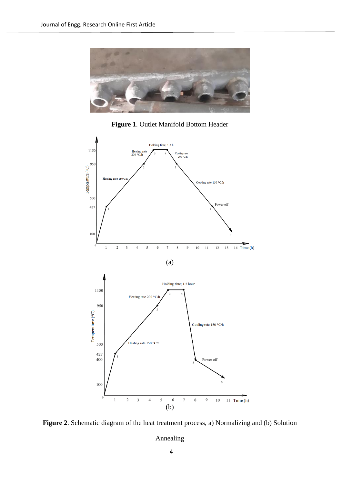

**Figure 1**. Outlet Manifold Bottom Header

<span id="page-3-0"></span>

<span id="page-3-1"></span>**Figure 2**. Schematic diagram of the heat treatment process, a) Normalizing and (b) Solution

Annealing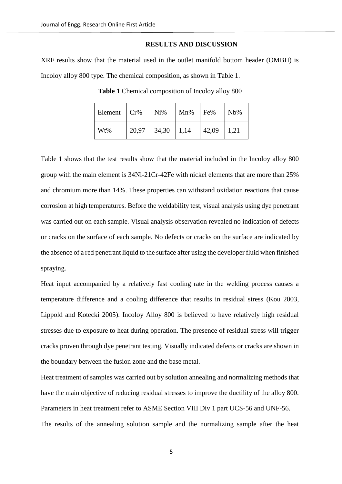#### **RESULTS AND DISCUSSION**

<span id="page-4-0"></span>XRF results show that the material used in the outlet manifold bottom header (OMBH) is Incoloy alloy 800 type. The chemical composition, as shown in [Table 1.](#page-4-0)

**Table 1** Chemical composition of Incoloy alloy 800

| Element | Cr%   | Ni%   | Mn%  | Fe%   | $Nb\%$ |
|---------|-------|-------|------|-------|--------|
| Wt%     | 20,97 | 34,30 | 1,14 | 42,09 | 1,21   |

[Table 1](#page-4-0) shows that the test results show that the material included in the Incoloy alloy 800 group with the main element is 34Ni-21Cr-42Fe with nickel elements that are more than 25% and chromium more than 14%. These properties can withstand oxidation reactions that cause corrosion at high temperatures. Before the weldability test, visual analysis using dye penetrant was carried out on each sample. Visual analysis observation revealed no indication of defects or cracks on the surface of each sample. No defects or cracks on the surface are indicated by the absence of a red penetrant liquid to the surface after using the developer fluid when finished spraying.

Heat input accompanied by a relatively fast cooling rate in the welding process causes a temperature difference and a cooling difference that results in residual stress (Kou 2003, Lippold and Kotecki 2005). Incoloy Alloy 800 is believed to have relatively high residual stresses due to exposure to heat during operation. The presence of residual stress will trigger cracks proven through dye penetrant testing. Visually indicated defects or cracks are shown in the boundary between the fusion zone and the base metal.

Heat treatment of samples was carried out by solution annealing and normalizing methods that have the main objective of reducing residual stresses to improve the ductility of the alloy 800. Parameters in heat treatment refer to ASME Section VIII Div 1 part UCS-56 and UNF-56. The results of the annealing solution sample and the normalizing sample after the heat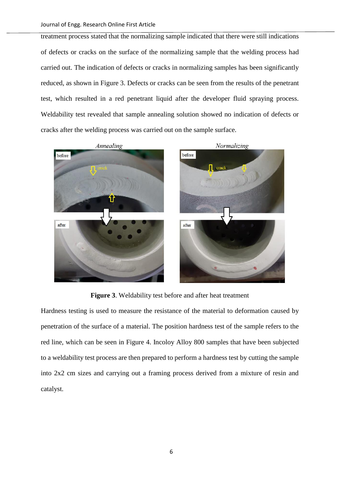treatment process stated that the normalizing sample indicated that there were still indications of defects or cracks on the surface of the normalizing sample that the welding process had carried out. The indication of defects or cracks in normalizing samples has been significantly reduced, as shown in [Figure 3.](#page-5-0) Defects or cracks can be seen from the results of the penetrant test, which resulted in a red penetrant liquid after the developer fluid spraying process. Weldability test revealed that sample annealing solution showed no indication of defects or cracks after the welding process was carried out on the sample surface.



**Figure 3**. Weldability test before and after heat treatment

<span id="page-5-0"></span>Hardness testing is used to measure the resistance of the material to deformation caused by penetration of the surface of a material. The position hardness test of the sample refers to the red line, which can be seen in [Figure 4.](#page-6-0) Incoloy Alloy 800 samples that have been subjected to a weldability test process are then prepared to perform a hardness test by cutting the sample into 2x2 cm sizes and carrying out a framing process derived from a mixture of resin and catalyst.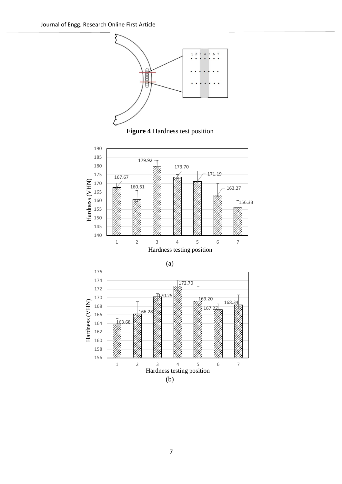



<span id="page-6-0"></span>



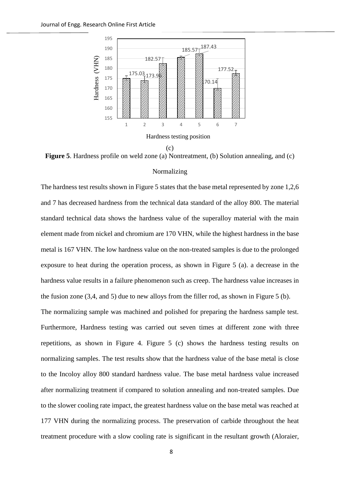

<span id="page-7-0"></span>**Figure 5**. Hardness profile on weld zone (a) Nontreatment, (b) Solution annealing, and (c)

# Normalizing

The hardness test results shown in Figure 5 states that the base metal represented by zone 1,2,6 and 7 has decreased hardness from the technical data standard of the alloy 800. The material standard technical data shows the hardness value of the superalloy material with the main element made from nickel and chromium are 170 VHN, while the highest hardness in the base metal is 167 VHN. The low hardness value on the non-treated samples is due to the prolonged exposure to heat during the operation process, as shown in Figure 5 (a). a decrease in the hardness value results in a failure phenomenon such as creep. The hardness value increases in the fusion zone (3,4, and 5) due to new alloys from the filler rod, as shown in Figure 5 (b). The normalizing sample was machined and polished for preparing the hardness sample test. Furthermore, Hardness testing was carried out seven times at different zone with three repetitions, as shown in [Figure 4.](#page-6-0) [Figure 5](#page-7-0) (c) shows the hardness testing results on normalizing samples. The test results show that the hardness value of the base metal is close to the Incoloy alloy 800 standard hardness value. The base metal hardness value increased after normalizing treatment if compared to solution annealing and non-treated samples. Due to the slower cooling rate impact, the greatest hardness value on the base metal was reached at

treatment procedure with a slow cooling rate is significant in the resultant growth (Aloraier,

177 VHN during the normalizing process. The preservation of carbide throughout the heat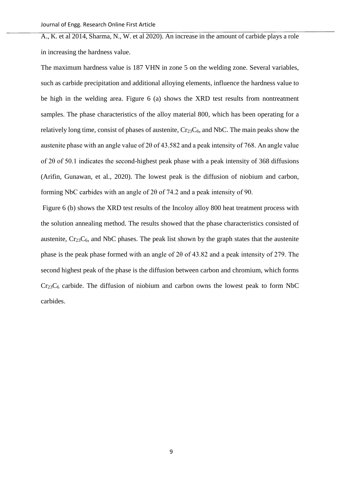A., K. et al 2014, Sharma, N., W. et al 2020). An increase in the amount of carbide plays a role in increasing the hardness value.

The maximum hardness value is 187 VHN in zone 5 on the welding zone. Several variables, such as carbide precipitation and additional alloying elements, influence the hardness value to be high in the welding area. Figure 6 (a) shows the XRD test results from nontreatment samples. The phase characteristics of the alloy material 800, which has been operating for a relatively long time, consist of phases of austenite,  $Cr_{23}C_6$ , and NbC. The main peaks show the austenite phase with an angle value of 2θ of 43.582 and a peak intensity of 768. An angle value of 2θ of 50.1 indicates the second-highest peak phase with a peak intensity of 368 diffusions (Arifin, Gunawan, et al., 2020). The lowest peak is the diffusion of niobium and carbon, forming NbC carbides with an angle of 2θ of 74.2 and a peak intensity of 90.

Figure 6 (b) shows the XRD test results of the Incoloy alloy 800 heat treatment process with the solution annealing method. The results showed that the phase characteristics consisted of austenite,  $Cr<sub>23</sub>C<sub>6</sub>$ , and NbC phases. The peak list shown by the graph states that the austenite phase is the peak phase formed with an angle of 2θ of 43.82 and a peak intensity of 279. The second highest peak of the phase is the diffusion between carbon and chromium, which forms  $Cr<sub>23</sub>C<sub>6</sub>$  carbide. The diffusion of niobium and carbon owns the lowest peak to form NbC carbides.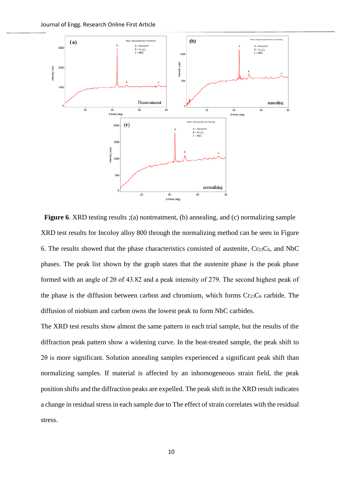

<span id="page-9-0"></span>**Figure 6.** XRD testing results ;(a) nontreatment, (b) annealing, and (c) normalizing sample XRD test results for Incoloy alloy 800 through the normalizing method can be seen in [Figure](#page-9-0)  [6.](#page-9-0) The results showed that the phase characteristics consisted of austenite,  $Cr<sub>23</sub>C<sub>6</sub>$ , and NbC phases. The peak list shown by the graph states that the austenite phase is the peak phase formed with an angle of 2θ of 43.82 and a peak intensity of 279. The second highest peak of the phase is the diffusion between carbon and chromium, which forms  $Cr_{23}C_6$  carbide. The diffusion of niobium and carbon owns the lowest peak to form NbC carbides.

The XRD test results show almost the same pattern in each trial sample, but the results of the diffraction peak pattern show a widening curve. In the heat-treated sample, the peak shift to  $2\theta$  is more significant. Solution annealing samples experienced a significant peak shift than normalizing samples. If material is affected by an inhomogeneous strain field, the peak position shifts and the diffraction peaks are expelled. The peak shift in the XRD result indicates a change in residual stress in each sample due to The effect of strain correlates with the residual stress.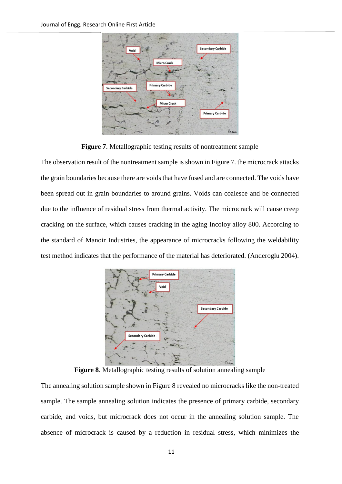

**Figure 7**. Metallographic testing results of nontreatment sample

<span id="page-10-0"></span>The observation result of the nontreatment sample is shown in [Figure 7.](#page-10-0) the microcrack attacks the grain boundaries because there are voids that have fused and are connected. The voids have been spread out in grain boundaries to around grains. Voids can coalesce and be connected due to the influence of residual stress from thermal activity. The microcrack will cause creep cracking on the surface, which causes cracking in the aging Incoloy alloy 800. According to the standard of Manoir Industries, the appearance of microcracks following the weldability test method indicates that the performance of the material has deteriorated. (Anderoglu 2004).



**Figure 8**. Metallographic testing results of solution annealing sample

<span id="page-10-1"></span>The annealing solution sample shown in [Figure 8](#page-10-1) revealed no microcracks like the non-treated sample. The sample annealing solution indicates the presence of primary carbide, secondary carbide, and voids, but microcrack does not occur in the annealing solution sample. The absence of microcrack is caused by a reduction in residual stress, which minimizes the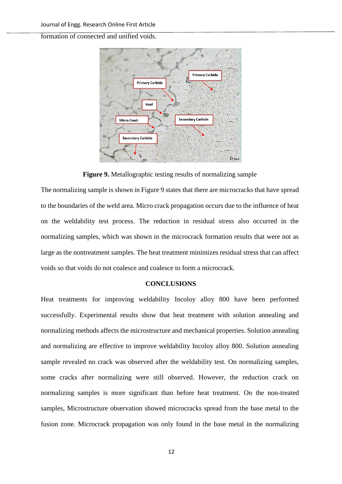formation of connected and unified voids.



**Figure 9.** Metallographic testing results of normalizing sample

<span id="page-11-0"></span>The normalizing sample is shown i[n Figure 9](#page-11-0) states that there are microcracks that have spread to the boundaries of the weld area. Micro crack propagation occurs due to the influence of heat on the weldability test process. The reduction in residual stress also occurred in the normalizing samples, which was shown in the microcrack formation results that were not as large as the nontreatment samples. The heat treatment minimizes residual stress that can affect voids so that voids do not coalesce and coalesce to form a microcrack.

#### **CONCLUSIONS**

Heat treatments for improving weldability Incoloy alloy 800 have been performed successfully. Experimental results show that heat treatment with solution annealing and normalizing methods affects the microstructure and mechanical properties. Solution annealing and normalizing are effective to improve weldability Incoloy alloy 800. Solution annealing sample revealed no crack was observed after the weldability test. On normalizing samples, some cracks after normalizing were still observed. However, the reduction crack on normalizing samples is more significant than before heat treatment. On the non-treated samples, Microstructure observation showed microcracks spread from the base metal to the fusion zone. Microcrack propagation was only found in the base metal in the normalizing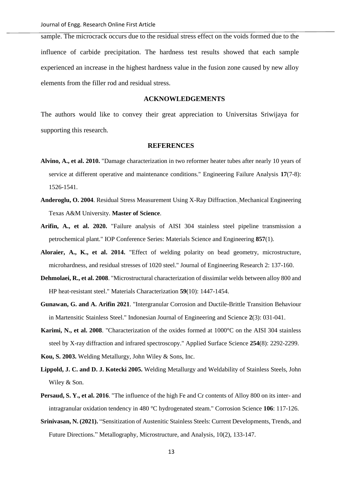sample. The microcrack occurs due to the residual stress effect on the voids formed due to the influence of carbide precipitation. The hardness test results showed that each sample experienced an increase in the highest hardness value in the fusion zone caused by new alloy elements from the filler rod and residual stress.

## **ACKNOWLEDGEMENTS**

The authors would like to convey their great appreciation to Universitas Sriwijaya for supporting this research.

#### **REFERENCES**

- **Alvino, A., et al. 2010.** "Damage characterization in two reformer heater tubes after nearly 10 years of service at different operative and maintenance conditions." Engineering Failure Analysis **17**(7-8): 1526-1541.
- **Anderoglu, O. 2004**. Residual Stress Measurement Using X-Ray Diffraction. Mechanical Engineering Texas A&M University. **Master of Science**.
- **Arifin, A., et al. 2020.** "Failure analysis of AISI 304 stainless steel pipeline transmission a petrochemical plant." IOP Conference Series: Materials Science and Engineering **857**(1).
- **Aloraier, A., K., et al. 2014.** "Effect of welding polarity on bead geometry, microstructure, microhardness, and residual stresses of 1020 steel." Journal of Engineering Research 2: 137-160.
- **Dehmolaei, R., et al. 2008**. "Microstructural characterization of dissimilar welds between alloy 800 and HP heat-resistant steel." Materials Characterization **59**(10): 1447-1454.
- **Gunawan, G. and A. Arifin 2021**. "Intergranular Corrosion and Ductile-Brittle Transition Behaviour in Martensitic Stainless Steel." Indonesian Journal of Engineering and Science **2**(3): 031-041.
- **Karimi, N., et al. 2008**. "Characterization of the oxides formed at 1000°C on the AISI 304 stainless steel by X-ray diffraction and infrared spectroscopy." Applied Surface Science **254**(8): 2292-2299.
- **Kou, S. 2003.** Welding Metallurgy, John Wiley & Sons, Inc.
- **Lippold, J. C. and D. J. Kotecki 2005.** Welding Metallurgy and Weldability of Stainless Steels, John Wiley & Son.
- **Persaud, S. Y., et al. 2016**. "The influence of the high Fe and Cr contents of Alloy 800 on its inter- and intragranular oxidation tendency in 480 °C hydrogenated steam." Corrosion Science **106**: 117-126.
- **Srinivasan, N. (2021).** "Sensitization of Austenitic Stainless Steels: Current Developments, Trends, and Future Directions." Metallography, Microstructure, and Analysis, 10(2), 133-147.